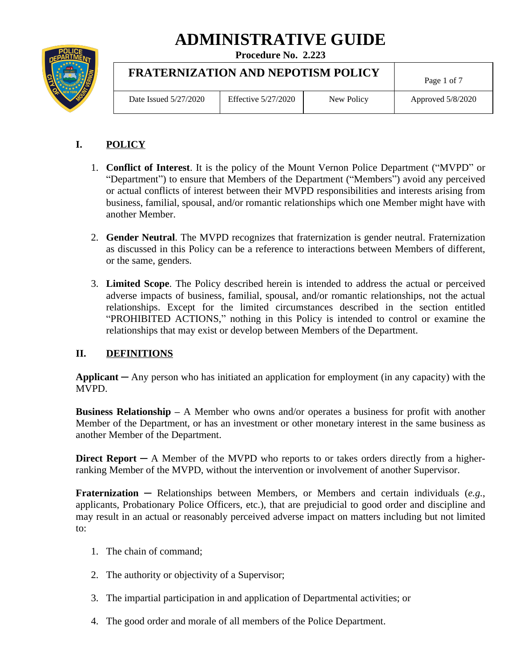# **ADMINISTRATIVE GUIDE**

**Procedure No. 2.223**



# **FRATERNIZATION AND NEPOTISM POLICY**

| Date Issued 5/27/2020 | Effective 5/27/2020 | New Policy | Approved 5/8/2020 |
|-----------------------|---------------------|------------|-------------------|
|                       |                     |            |                   |

Page 1 of 7

# **I. POLICY**

- 1. **Conflict of Interest**. It is the policy of the Mount Vernon Police Department ("MVPD" or "Department") to ensure that Members of the Department ("Members") avoid any perceived or actual conflicts of interest between their MVPD responsibilities and interests arising from business, familial, spousal, and/or romantic relationships which one Member might have with another Member.
- 2. **Gender Neutral**. The MVPD recognizes that fraternization is gender neutral. Fraternization as discussed in this Policy can be a reference to interactions between Members of different, or the same, genders.
- 3. **Limited Scope**. The Policy described herein is intended to address the actual or perceived adverse impacts of business, familial, spousal, and/or romantic relationships, not the actual relationships. Except for the limited circumstances described in the section entitled "PROHIBITED ACTIONS," nothing in this Policy is intended to control or examine the relationships that may exist or develop between Members of the Department.

## **II. DEFINITIONS**

**Applicant** ─ Any person who has initiated an application for employment (in any capacity) with the MVPD.

**Business Relationship –** A Member who owns and/or operates a business for profit with another Member of the Department, or has an investment or other monetary interest in the same business as another Member of the Department.

**Direct Report** ─ A Member of the MVPD who reports to or takes orders directly from a higherranking Member of the MVPD, without the intervention or involvement of another Supervisor.

**Fraternization** ─ Relationships between Members, or Members and certain individuals (*e.g.*, applicants, Probationary Police Officers, etc.), that are prejudicial to good order and discipline and may result in an actual or reasonably perceived adverse impact on matters including but not limited to:

- 1. The chain of command;
- 2. The authority or objectivity of a Supervisor;
- 3. The impartial participation in and application of Departmental activities; or
- 4. The good order and morale of all members of the Police Department.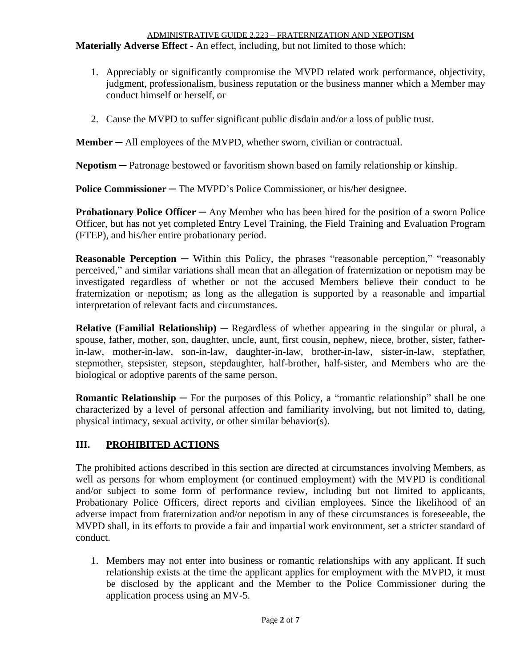#### ADMINISTRATIVE GUIDE 2.223 – FRATERNIZATION AND NEPOTISM **Materially Adverse Effect** - An effect, including, but not limited to those which:

- 1. Appreciably or significantly compromise the MVPD related work performance, objectivity, judgment, professionalism, business reputation or the business manner which a Member may conduct himself or herself, or
- 2. Cause the MVPD to suffer significant public disdain and/or a loss of public trust.

**Member** — All employees of the MVPD, whether sworn, civilian or contractual.

**Nepotism** — Patronage bestowed or favoritism shown based on family relationship or kinship.

**Police Commissioner** — The MVPD's Police Commissioner, or his/her designee.

**Probationary Police Officer ─** Any Member who has been hired for the position of a sworn Police Officer, but has not yet completed Entry Level Training, the Field Training and Evaluation Program (FTEP), and his/her entire probationary period.

**Reasonable Perception** — Within this Policy, the phrases "reasonable perception," "reasonably perceived," and similar variations shall mean that an allegation of fraternization or nepotism may be investigated regardless of whether or not the accused Members believe their conduct to be fraternization or nepotism; as long as the allegation is supported by a reasonable and impartial interpretation of relevant facts and circumstances.

**Relative (Familial Relationship)** ─ Regardless of whether appearing in the singular or plural, a spouse, father, mother, son, daughter, uncle, aunt, first cousin, nephew, niece, brother, sister, fatherin-law, mother-in-law, son-in-law, daughter-in-law, brother-in-law, sister-in-law, stepfather, stepmother, stepsister, stepson, stepdaughter, half-brother, half-sister, and Members who are the biological or adoptive parents of the same person.

**Romantic Relationship**  $-$  For the purposes of this Policy, a "romantic relationship" shall be one characterized by a level of personal affection and familiarity involving, but not limited to, dating, physical intimacy, sexual activity, or other similar behavior(s).

## **III. PROHIBITED ACTIONS**

The prohibited actions described in this section are directed at circumstances involving Members, as well as persons for whom employment (or continued employment) with the MVPD is conditional and/or subject to some form of performance review, including but not limited to applicants, Probationary Police Officers, direct reports and civilian employees. Since the likelihood of an adverse impact from fraternization and/or nepotism in any of these circumstances is foreseeable, the MVPD shall, in its efforts to provide a fair and impartial work environment, set a stricter standard of conduct.

1. Members may not enter into business or romantic relationships with any applicant. If such relationship exists at the time the applicant applies for employment with the MVPD, it must be disclosed by the applicant and the Member to the Police Commissioner during the application process using an MV-5.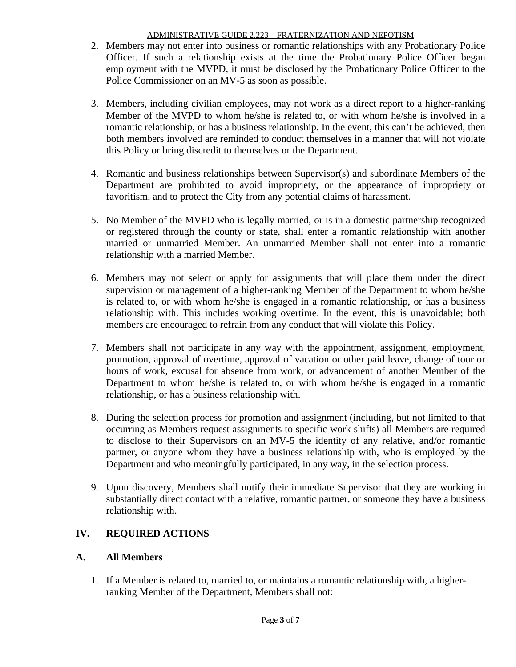- 2. Members may not enter into business or romantic relationships with any Probationary Police Officer. If such a relationship exists at the time the Probationary Police Officer began employment with the MVPD, it must be disclosed by the Probationary Police Officer to the Police Commissioner on an MV-5 as soon as possible.
- 3. Members, including civilian employees, may not work as a direct report to a higher-ranking Member of the MVPD to whom he/she is related to, or with whom he/she is involved in a romantic relationship, or has a business relationship. In the event, this can't be achieved, then both members involved are reminded to conduct themselves in a manner that will not violate this Policy or bring discredit to themselves or the Department.
- 4. Romantic and business relationships between Supervisor(s) and subordinate Members of the Department are prohibited to avoid impropriety, or the appearance of impropriety or favoritism, and to protect the City from any potential claims of harassment.
- 5. No Member of the MVPD who is legally married, or is in a domestic partnership recognized or registered through the county or state, shall enter a romantic relationship with another married or unmarried Member. An unmarried Member shall not enter into a romantic relationship with a married Member.
- 6. Members may not select or apply for assignments that will place them under the direct supervision or management of a higher-ranking Member of the Department to whom he/she is related to, or with whom he/she is engaged in a romantic relationship, or has a business relationship with. This includes working overtime. In the event, this is unavoidable; both members are encouraged to refrain from any conduct that will violate this Policy.
- 7. Members shall not participate in any way with the appointment, assignment, employment, promotion, approval of overtime, approval of vacation or other paid leave, change of tour or hours of work, excusal for absence from work, or advancement of another Member of the Department to whom he/she is related to, or with whom he/she is engaged in a romantic relationship, or has a business relationship with.
- 8. During the selection process for promotion and assignment (including, but not limited to that occurring as Members request assignments to specific work shifts) all Members are required to disclose to their Supervisors on an MV-5 the identity of any relative, and/or romantic partner, or anyone whom they have a business relationship with, who is employed by the Department and who meaningfully participated, in any way, in the selection process.
- 9. Upon discovery, Members shall notify their immediate Supervisor that they are working in substantially direct contact with a relative, romantic partner, or someone they have a business relationship with.

## **IV. REQUIRED ACTIONS**

### **A. All Members**

1. If a Member is related to, married to, or maintains a romantic relationship with, a higherranking Member of the Department, Members shall not: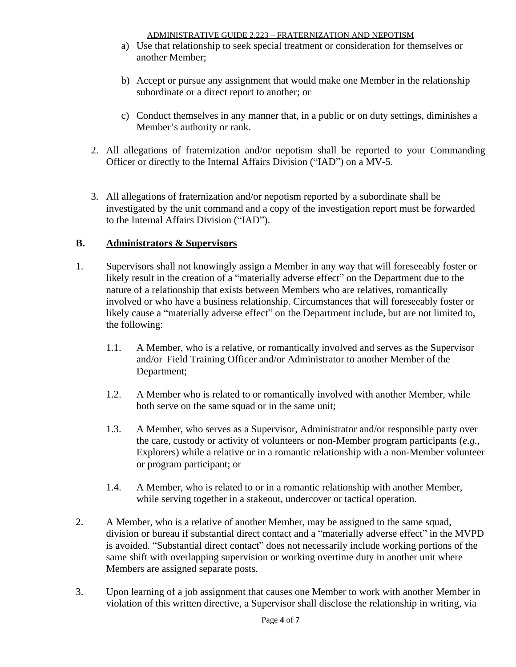- a) Use that relationship to seek special treatment or consideration for themselves or another Member;
- b) Accept or pursue any assignment that would make one Member in the relationship subordinate or a direct report to another; or
- c) Conduct themselves in any manner that, in a public or on duty settings, diminishes a Member's authority or rank.
- 2. All allegations of fraternization and/or nepotism shall be reported to your Commanding Officer or directly to the Internal Affairs Division ("IAD") on a MV-5.
- 3. All allegations of fraternization and/or nepotism reported by a subordinate shall be investigated by the unit command and a copy of the investigation report must be forwarded to the Internal Affairs Division ("IAD").

## **B. Administrators & Supervisors**

- 1. Supervisors shall not knowingly assign a Member in any way that will foreseeably foster or likely result in the creation of a "materially adverse effect" on the Department due to the nature of a relationship that exists between Members who are relatives, romantically involved or who have a business relationship. Circumstances that will foreseeably foster or likely cause a "materially adverse effect" on the Department include, but are not limited to, the following:
	- 1.1. A Member, who is a relative, or romantically involved and serves as the Supervisor and/or Field Training Officer and/or Administrator to another Member of the Department;
	- 1.2. A Member who is related to or romantically involved with another Member, while both serve on the same squad or in the same unit;
	- 1.3. A Member, who serves as a Supervisor, Administrator and/or responsible party over the care, custody or activity of volunteers or non-Member program participants (*e.g.*, Explorers) while a relative or in a romantic relationship with a non-Member volunteer or program participant; or
	- 1.4. A Member, who is related to or in a romantic relationship with another Member, while serving together in a stakeout, undercover or tactical operation.
- 2. A Member, who is a relative of another Member, may be assigned to the same squad, division or bureau if substantial direct contact and a "materially adverse effect" in the MVPD is avoided. "Substantial direct contact" does not necessarily include working portions of the same shift with overlapping supervision or working overtime duty in another unit where Members are assigned separate posts.
- 3. Upon learning of a job assignment that causes one Member to work with another Member in violation of this written directive, a Supervisor shall disclose the relationship in writing, via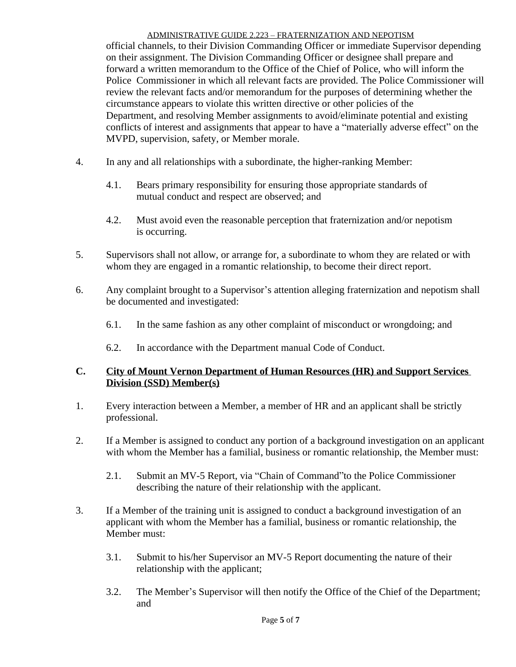official channels, to their Division Commanding Officer or immediate Supervisor depending on their assignment. The Division Commanding Officer or designee shall prepare and forward a written memorandum to the Office of the Chief of Police, who will inform the Police Commissioner in which all relevant facts are provided. The Police Commissioner will review the relevant facts and/or memorandum for the purposes of determining whether the circumstance appears to violate this written directive or other policies of the Department, and resolving Member assignments to avoid/eliminate potential and existing conflicts of interest and assignments that appear to have a "materially adverse effect" on the MVPD, supervision, safety, or Member morale.

- 4. In any and all relationships with a subordinate, the higher-ranking Member:
	- 4.1. Bears primary responsibility for ensuring those appropriate standards of mutual conduct and respect are observed; and
	- 4.2. Must avoid even the reasonable perception that fraternization and/or nepotism is occurring.
- 5. Supervisors shall not allow, or arrange for, a subordinate to whom they are related or with whom they are engaged in a romantic relationship, to become their direct report.
- 6. Any complaint brought to a Supervisor's attention alleging fraternization and nepotism shall be documented and investigated:
	- 6.1. In the same fashion as any other complaint of misconduct or wrongdoing; and
	- 6.2. In accordance with the Department manual Code of Conduct.

#### **C. City of Mount Vernon Department of Human Resources (HR) and Support Services Division (SSD) Member(s)**

- 1. Every interaction between a Member, a member of HR and an applicant shall be strictly professional.
- 2. If a Member is assigned to conduct any portion of a background investigation on an applicant with whom the Member has a familial, business or romantic relationship, the Member must:
	- 2.1. Submit an MV-5 Report, via "Chain of Command"to the Police Commissioner describing the nature of their relationship with the applicant.
- 3. If a Member of the training unit is assigned to conduct a background investigation of an applicant with whom the Member has a familial, business or romantic relationship, the Member must:
	- 3.1. Submit to his/her Supervisor an MV-5 Report documenting the nature of their relationship with the applicant;
	- 3.2. The Member's Supervisor will then notify the Office of the Chief of the Department; and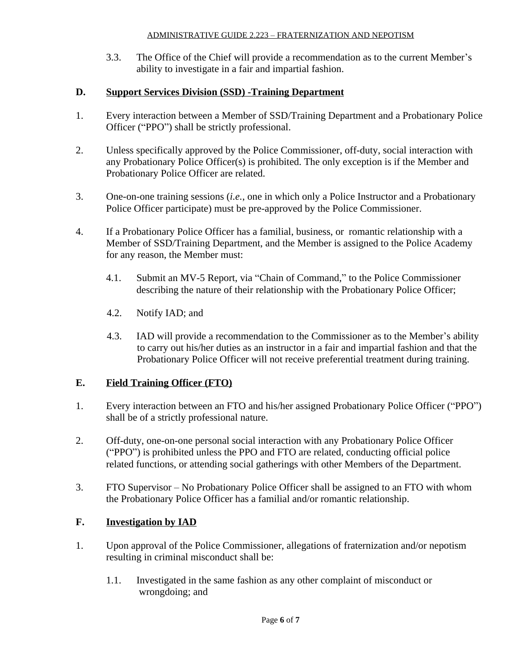3.3. The Office of the Chief will provide a recommendation as to the current Member's ability to investigate in a fair and impartial fashion.

#### **D. Support Services Division (SSD) -Training Department**

- 1. Every interaction between a Member of SSD/Training Department and a Probationary Police Officer ("PPO") shall be strictly professional.
- 2. Unless specifically approved by the Police Commissioner, off-duty, social interaction with any Probationary Police Officer(s) is prohibited. The only exception is if the Member and Probationary Police Officer are related.
- 3. One-on-one training sessions (*i.e.*, one in which only a Police Instructor and a Probationary Police Officer participate) must be pre-approved by the Police Commissioner.
- 4. If a Probationary Police Officer has a familial, business, or romantic relationship with a Member of SSD/Training Department, and the Member is assigned to the Police Academy for any reason, the Member must:
	- 4.1. Submit an MV-5 Report, via "Chain of Command," to the Police Commissioner describing the nature of their relationship with the Probationary Police Officer;
	- 4.2. Notify IAD; and
	- 4.3. IAD will provide a recommendation to the Commissioner as to the Member's ability to carry out his/her duties as an instructor in a fair and impartial fashion and that the Probationary Police Officer will not receive preferential treatment during training.

#### **E. Field Training Officer (FTO)**

- 1. Every interaction between an FTO and his/her assigned Probationary Police Officer ("PPO") shall be of a strictly professional nature.
- 2. Off-duty, one-on-one personal social interaction with any Probationary Police Officer ("PPO") is prohibited unless the PPO and FTO are related, conducting official police related functions, or attending social gatherings with other Members of the Department.
- 3. FTO Supervisor No Probationary Police Officer shall be assigned to an FTO with whom the Probationary Police Officer has a familial and/or romantic relationship.

### **F. Investigation by IAD**

- 1. Upon approval of the Police Commissioner, allegations of fraternization and/or nepotism resulting in criminal misconduct shall be:
	- 1.1. Investigated in the same fashion as any other complaint of misconduct or wrongdoing; and